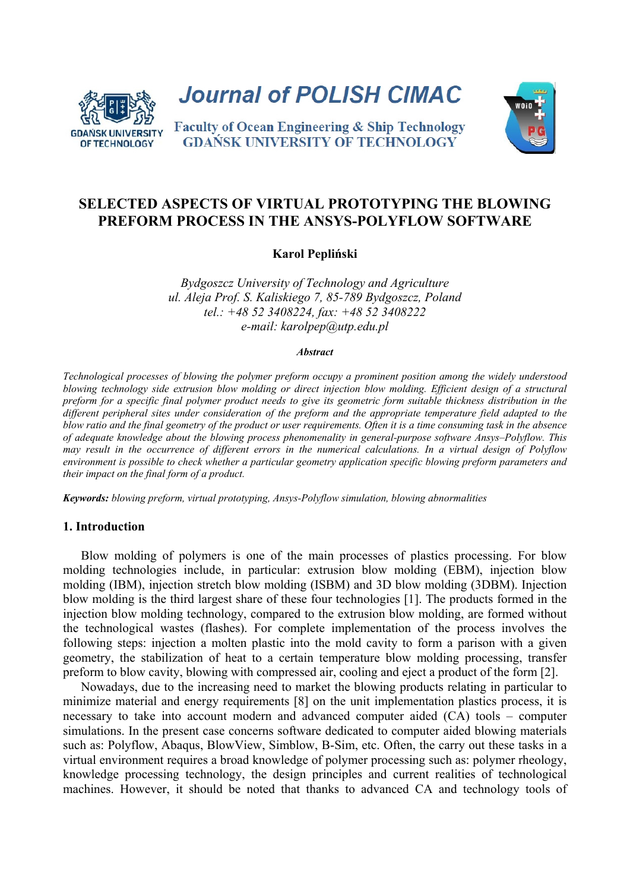

**Journal of POLISH CIMAC** 

**Faculty of Ocean Engineering & Ship Technology GDANSK UNIVERSITY OF TECHNOLOGY** 



# **SELECTED ASPECTS OF VIRTUAL PROTOTYPING THE BLOWING PREFORM PROCESS IN THE ANSYS-POLYFLOW SOFTWARE**

## **Karol Pepliński**

*Bydgoszcz University of Technology and Agriculture ul. Aleja Prof. S. Kaliskiego 7, 85-789 Bydgoszcz, Poland tel.: +48 52 3408224, fax: +48 52 3408222 e-mail: karolpep@utp.edu.pl* 

#### *Abstract*

*Technological processes of blowing the polymer preform occupy a prominent position among the widely understood*  blowing technology side extrusion blow molding or direct injection blow molding. Efficient design of a structural *preform for a specific final polymer product needs to give its geometric form suitable thickness distribution in the different peripheral sites under consideration of the preform and the appropriate temperature field adapted to the blow ratio and the final geometry of the product or user requirements. Often it is a time consuming task in the absence of adequate knowledge about the blowing process phenomenality in general-purpose software Ansys–Polyflow. This may result in the occurrence of different errors in the numerical calculations. In a virtual design of Polyflow environment is possible to check whether a particular geometry application specific blowing preform parameters and their impact on the final form of a product.* 

*Keywords: blowing preform, virtual prototyping, Ansys-Polyflow simulation, blowing abnormalities* 

#### **1. Introduction**

Blow molding of polymers is one of the main processes of plastics processing. For blow molding technologies include, in particular: extrusion blow molding (EBM), injection blow molding (IBM), injection stretch blow molding (ISBM) and 3D blow molding (3DBM). Injection blow molding is the third largest share of these four technologies [1]. The products formed in the injection blow molding technology, compared to the extrusion blow molding, are formed without the technological wastes (flashes). For complete implementation of the process involves the following steps: injection a molten plastic into the mold cavity to form a parison with a given geometry, the stabilization of heat to a certain temperature blow molding processing, transfer preform to blow cavity, blowing with compressed air, cooling and eject a product of the form [2].

Nowadays, due to the increasing need to market the blowing products relating in particular to minimize material and energy requirements [8] on the unit implementation plastics process, it is necessary to take into account modern and advanced computer aided (CA) tools – computer simulations. In the present case concerns software dedicated to computer aided blowing materials such as: Polyflow, Abaqus, BlowView, Simblow, B-Sim, etc. Often, the carry out these tasks in a virtual environment requires a broad knowledge of polymer processing such as: polymer rheology, knowledge processing technology, the design principles and current realities of technological machines. However, it should be noted that thanks to advanced CA and technology tools of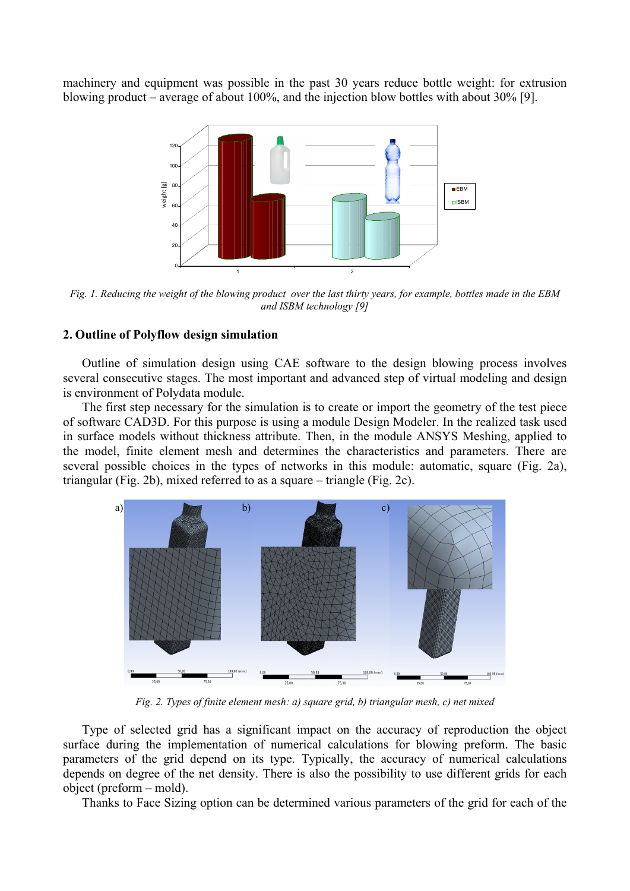machinery and equipment was possible in the past 30 years reduce bottle weight: for extrusion blowing product – average of about 100%, and the injection blow bottles with about 30% [9].



*Fig. 1. Reducing the weight of the blowing product over the last thirty years, for example, bottles made in the EBM and ISBM technology [9]* 

## **2. Outline of Polyflow design simulation**

Outline of simulation design using CAE software to the design blowing process involves several consecutive stages. The most important and advanced step of virtual modeling and design is environment of Polydata module.

The first step necessary for the simulation is to create or import the geometry of the test piece of software CAD3D. For this purpose is using a module Design Modeler. In the realized task used in surface models without thickness attribute. Then, in the module ANSYS Meshing, applied to the model, finite element mesh and determines the characteristics and parameters. There are several possible choices in the types of networks in this module: automatic, square (Fig. 2a), triangular (Fig. 2b), mixed referred to as a square – triangle (Fig. 2c).



*Fig. 2. Types of finite element mesh: a) square grid, b) triangular mesh, c) net mixed* 

Type of selected grid has a significant impact on the accuracy of reproduction the object surface during the implementation of numerical calculations for blowing preform. The basic parameters of the grid depend on its type. Typically, the accuracy of numerical calculations depends on degree of the net density. There is also the possibility to use different grids for each object (preform – mold).

Thanks to Face Sizing option can be determined various parameters of the grid for each of the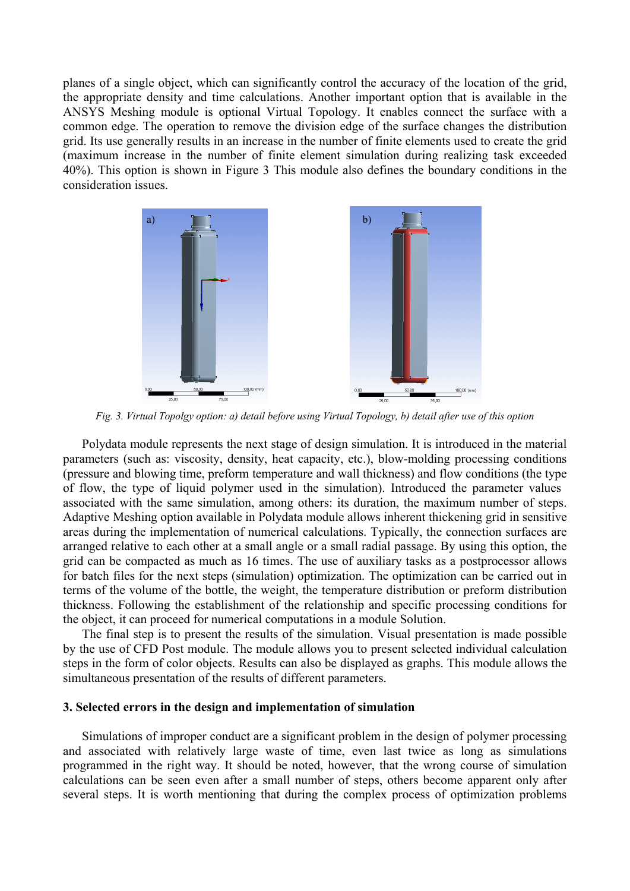planes of a single object, which can significantly control the accuracy of the location of the grid, the appropriate density and time calculations. Another important option that is available in the ANSYS Meshing module is optional Virtual Topology. It enables connect the surface with a common edge. The operation to remove the division edge of the surface changes the distribution grid. Its use generally results in an increase in the number of finite elements used to create the grid (maximum increase in the number of finite element simulation during realizing task exceeded 40%). This option is shown in Figure 3 This module also defines the boundary conditions in the consideration issues.



*Fig. 3. Virtual Topolgy option: a) detail before using Virtual Topology, b) detail after use of this option* 

Polydata module represents the next stage of design simulation. It is introduced in the material parameters (such as: viscosity, density, heat capacity, etc.), blow-molding processing conditions (pressure and blowing time, preform temperature and wall thickness) and flow conditions (the type of flow, the type of liquid polymer used in the simulation). Introduced the parameter values associated with the same simulation, among others: its duration, the maximum number of steps. Adaptive Meshing option available in Polydata module allows inherent thickening grid in sensitive areas during the implementation of numerical calculations. Typically, the connection surfaces are arranged relative to each other at a small angle or a small radial passage. By using this option, the grid can be compacted as much as 16 times. The use of auxiliary tasks as a postprocessor allows for batch files for the next steps (simulation) optimization. The optimization can be carried out in terms of the volume of the bottle, the weight, the temperature distribution or preform distribution thickness. Following the establishment of the relationship and specific processing conditions for the object, it can proceed for numerical computations in a module Solution.

The final step is to present the results of the simulation. Visual presentation is made possible by the use of CFD Post module. The module allows you to present selected individual calculation steps in the form of color objects. Results can also be displayed as graphs. This module allows the simultaneous presentation of the results of different parameters.

### **3. Selected errors in the design and implementation of simulation**

Simulations of improper conduct are a significant problem in the design of polymer processing and associated with relatively large waste of time, even last twice as long as simulations programmed in the right way. It should be noted, however, that the wrong course of simulation calculations can be seen even after a small number of steps, others become apparent only after several steps. It is worth mentioning that during the complex process of optimization problems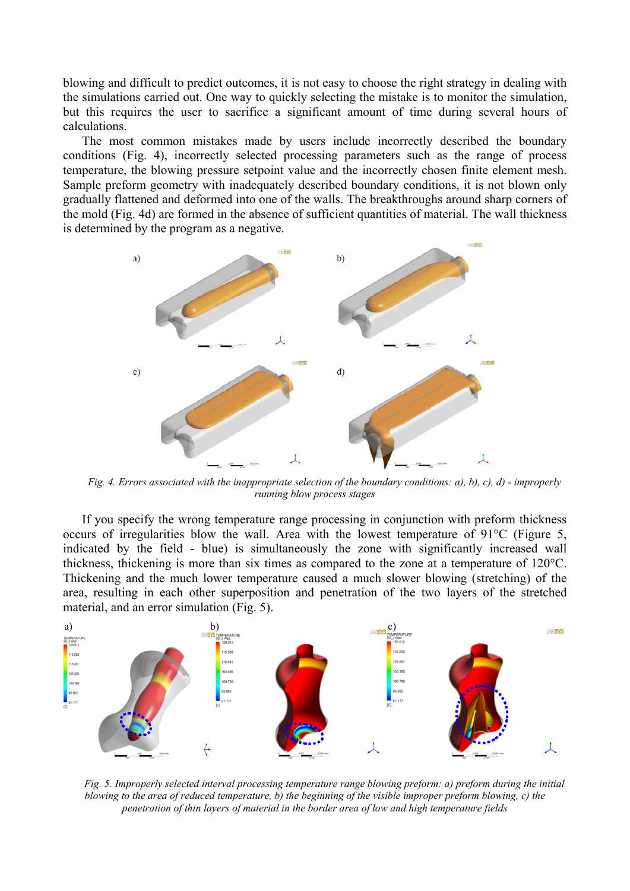blowing and difficult to predict outcomes, it is not easy to choose the right strategy in dealing with the simulations carried out. One way to quickly selecting the mistake is to monitor the simulation, but this requires the user to sacrifice a significant amount of time during several hours of calculations.

The most common mistakes made by users include incorrectly described the boundary conditions (Fig. 4), incorrectly selected processing parameters such as the range of process temperature, the blowing pressure setpoint value and the incorrectly chosen finite element mesh. Sample preform geometry with inadequately described boundary conditions, it is not blown only gradually flattened and deformed into one of the walls. The breakthroughs around sharp corners of the mold (Fig. 4d) are formed in the absence of sufficient quantities of material. The wall thickness is determined by the program as a negative.



*Fig. 4. Errors associated with the inappropriate selection of the boundary conditions: a), b), c), d) - improperly running blow process stages* 

If you specify the wrong temperature range processing in conjunction with preform thickness occurs of irregularities blow the wall. Area with the lowest temperature of 91°C (Figure 5, indicated by the field - blue) is simultaneously the zone with significantly increased wall thickness, thickening is more than six times as compared to the zone at a temperature of 120°C. Thickening and the much lower temperature caused a much slower blowing (stretching) of the area, resulting in each other superposition and penetration of the two layers of the stretched material, and an error simulation (Fig. 5).



*Fig. 5. Improperly selected interval processing temperature range blowing preform: a) preform during the initial blowing to the area of reduced temperature, b) the beginning of the visible improper preform blowing, c) the penetration of thin layers of material in the border area of low and high temperature fields*